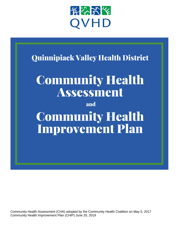

**Quinnipiack Valley Health District** 

# **Community Health** Assessment

and **Community Health Improvement Plan** 

Community Health Assessment (CHA) adopted by the Community Health Coalition on May 5, 2017 Community Health Improvement Plan (CHIP) June 20, 2019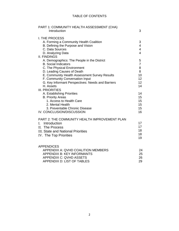#### TABLE OF CONTENTS

| PART 1: COMMUNITY HEALTH ASSESSMENT (CHA)<br>Introduction                                                                                                                                                                                                                                                               | 3                                                     |
|-------------------------------------------------------------------------------------------------------------------------------------------------------------------------------------------------------------------------------------------------------------------------------------------------------------------------|-------------------------------------------------------|
| <b>I. THE PROCESS</b><br>A. Forming a Community Health Coalition<br>B. Defining the Purpose and Vision<br>C. Data Sources<br>D. Analyzing Data<br><b>II. FINDINGS</b>                                                                                                                                                   | 3<br>4<br>$\overline{4}$<br>$\overline{4}$            |
| A. Demographics: The People in the District<br><b>B.</b> Social Indicators<br>C. The Physical Environment<br>D. Leading Causes of Death<br>E. Community Health Assessment Survey Results<br>F. Community Conversation Input<br>G. Key Informant Perspectives: Needs and Barriers<br>H. Assets<br><b>III. PRIORITIES</b> | 5<br>$\overline{7}$<br>8<br>8<br>10<br>12<br>12<br>14 |
| A. Establishing Priorities<br><b>B. Priority Areas</b><br>1. Access to Health Care<br>2. Mental Health<br>3. Preventable Chronic Disease<br>IV. CONCLUSION/DISCUSSION                                                                                                                                                   | 14<br>15<br>15<br>15<br>15 <sub>2</sub><br>16         |
| PART 2: THE COMMUNITY HEALTH IMPROVEMENT PLAN<br>Introduction<br>I.<br>II. The Process<br><b>III. State and National Priorities</b><br>IV. The Top Priorities                                                                                                                                                           | 17<br>17<br>18<br>18<br>19                            |
| <b>APPENDICES</b><br>APPENDIX A: QVHD COALITION MEMBERS<br><b>APPENDIX B: KEY INFORMANTS</b><br>APPENDIX C: QVHD ASSETS<br><b>APPENDIX D: LIST OF TABLES</b>                                                                                                                                                            | 24<br>25<br>26<br>29                                  |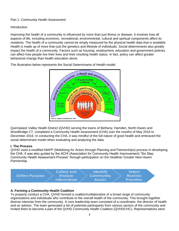#### Part 1: Community Health Assessment

#### Introduction

Improving the health of a community is influenced by more than just illness or disease. It involves how all aspects of life, including economic, recreational, environmental, cultural and spiritual components affect its residents. The health of a community cannot be simply measured by the physical health data that is available. Health is made up of more than just the genetics and lifestyle of individuals. Social determinants also greatly impact the health of a community. Factors such as housing, employment, education and government policies can affect how people live their lives and their resulting health status. In fact, policy can affect greater behavioral change than health education alone.



Quinnipiack Valley Health District (QVHD) serving the towns of Bethany, Hamden, North Haven and Woodbridge CT, completed a Community Health Assessment (CHA) over the months of May 2016 to December 2016. In conducting the CHA, it was mindful of the full nature of good health and embraced the social determinant model when evaluating and analyzing the data.

#### **I. The Process**

QVHD used a modified MAPP (Mobilizing for Action through Planning and Partnerships) process in developing the CHA. It was also guided by the ACHI (Association for Community Health Improvement) "Six Step Community Health Assessment Process" through participation on the Healthier Greater New Haven Partnership.



#### **A. Forming a Community Health Coalition**

To properly conduct a CHA, QVHD formed a coalition/collaborative of a broad range of community organizations and individuals who contribute to the overall health of the community. This brought together diverse interests from the community. A core leadership team consisted of a coordinator, the director of health and an advisor. The team generated a list of potential participants from various sectors of the community and invited them to become a part of the QVHD Community Health Coalition (QVHDCHC). Representatives were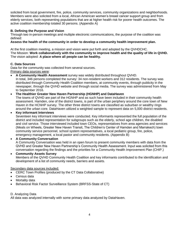solicited from local government, fire, police, community services, community organizations and neighborhoods. Members were also solicited from a local, African American women's breast cancer support group and from elderly services, both representing populations that are at higher health risk for poorer health outcomes. The active coalition membership totaled 30 persons. (Appendix A)

#### **B. Defining the Purpose and Vision**

Through two in-person meetings and multiple electronic communications, the purpose of the coalition was defined:

#### **Assess the health of the community in order to develop a community health improvement plan.**

At the first coalition meeting, a mission and vision were put forth and adopted by the QVHDCHC. The Mission: **Work collaboratively with the community to improve health and the quality of life in QVHD.** The vision adopted: **A place where all people can be healthy.** 

#### **C. Data Sources**

Data for the community was collected from several sources. Primary data sources were:

• **A Community Health Assessment** survey was widely distributed throughout QVHD.

In total, 346 persons completed the survey: 34 non-resident workers and 312 residents. The survey was distributed through Community Health Coalition members, at community events, through publicity in the newspaper, through the QVHD website and through social media. The survey was administered from May to September 2016.

#### • **The Healthier Greater New Haven Partnership (HGNHP) and DataHaven**

The towns of QVHD are part of the HGNHP and as such have been included in their community health assessment. Hamden, one of the district towns, is part of the urban periphery around the core town of New Haven in the HCNHP survey. The other three district towns are classified as suburban or wealthy rings around the urban core. DataHaven utilized a weighted sample to represent data on 5,000 district residents.

• **Key informant Interviews**

Seventeen key informant interviews were conducted. Key informants represented the full population of the district and included representation for subgroups such as the elderly, school age children, the disabled and civil service. Those interviewed included town CEOs, representatives from area agencies and services (Meals on Wheels, Greater New Haven Transit, The Children's Center of Hamden and Marrakech) town community service personnel, school system representatives, a local pediatric group, fire, police, emergency management, a local pastor and community residents. (Appendix B)

• **A Community Conversation**

A Community Conversation was held in an open forum to present community members with data from the QVHD and Greater New Haven Partnership's Community Health Assessment. Input was solicited from this conversation regarding the findings and the priorities for a Community Health Improvement Plan (CHIP.)

#### • **Community Assets Survey** Members of the QVHD Community Health Coalition and key informants contributed to the identification and development of a list of community needs, barriers and assets.

#### Secondary data sources included:

- CERC Town Profiles (produced by the CT Data Collaborative)
- Census data
- Mortality data
- Behavioral Risk Factor Surveillance System (BRFSS-State of CT)

#### D. Analyzing Data

All data was analyzed internally with some primary data analyzed by DataHaven.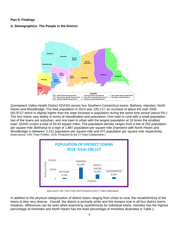#### **Part II: Findings**

**A. Demographics: The People in the District**



Quinnipiack Valley Health District (QVHD) serves four Southern Connecticut towns: Bethany, Hamden, North Haven and Woodbridge. The total population in 2014 was 100,117, an increase of about 6% over 2000 (93,971)<sup>3</sup> which is slightly higher than the state increase in population during the same time period (about 5%.) The four towns vary widely in terms of classification and population. One town is rural with a small population: two of the towns are suburban; and one town is urban with the largest population at 10 times the smallest town. QVHD covers a total of 93.43 square miles. The population density ranges from a low of 262 population per square mile (Bethany) to a high of 1,887 population per square mile (Hamden) with North Haven and Woodbridge in between: 1,151 population per square mile and 477 population per square mile respectively. (Data source: CRC Town Profiles, 2016. Produced by the CT Data Collaborative.)



Data Source: CRC Town Profile 2016 (Produced by the CT Data Collaborative)

In addition to the physical categorization of district towns ranging from urban to rural, the racial/ethnicity of the towns is also very diverse. Overall, the district is primarily white and this remains true in all four district towns. However, differences can be seen when examining race/ethnicity for individual towns. Hamden has the highest percentage of minorities and North Haven has the least percentage of minorities illustrated in Table 1.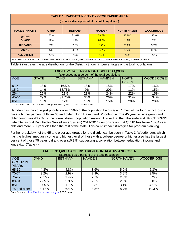| <b>TABLE 1: RACE/ETHNICITY BY GEOGRAPHIC AREA</b><br>(expressed as a percent of the total population)                        |             |                |               |                    |                   |
|------------------------------------------------------------------------------------------------------------------------------|-------------|----------------|---------------|--------------------|-------------------|
| <b>RACE/ETHNICITY</b>                                                                                                        | <b>QVHD</b> | <b>BETHANY</b> | <b>HAMDEN</b> | <b>NORTH HAVEN</b> | <b>WOODBRIDGE</b> |
| <b>WHITE</b>                                                                                                                 | 70%         | 91.6%          | 68.5%         | 95.5%              | 87%               |
| <b>BLACK</b>                                                                                                                 | 12%         | 1.9%           | 20.2%         | 1.3%               | 2%                |
| <b>HISPANIC</b>                                                                                                              | 7%          | 2.5%           | 8.7%          | 2.9%               | 3.2%              |
| <b>ASIAN</b>                                                                                                                 | 6%          | 4.8%           | 5.5%          | 1.6%               | 8.7%              |
| <b>ALL OTHER</b>                                                                                                             | $<1\%$      | $<1\%$         | $<1\%$        | $< 1\%$            | $<1\%$            |
| Data Sources: CERC Town Profile 2016: Years 2010-2014 for QVHD; Factfinder.census.gov for individual towns, 2010 census data |             |                |               |                    |                   |

Table 2 illustrates the age distribution for the District. (Shown in percentages of the total population)

| <b>TABLE 2: AGE DISTRIBUTION FOR QVHD</b><br>(Expressed as a percent of the total population)         |     |        |     |     |                   |     |
|-------------------------------------------------------------------------------------------------------|-----|--------|-----|-----|-------------------|-----|
| <b>AGE</b><br><b>STATE</b><br><b>BETHANY</b><br><b>HAMDEN</b><br><b>NORTH</b><br>QVHD<br><b>HAVEN</b> |     |        |     |     | <b>WOODBRIDGE</b> |     |
| $0 - 14$                                                                                              | 18% | 16.5%  | 18% | 15% | 17%               | 16% |
| $15 - 24$                                                                                             | 14% | 13.75% | 9%  | 20% | 11%               | 15% |
| 25-44                                                                                                 | 25% | 21%    | 23% | 24% | 22%               | 15% |
| 45-64                                                                                                 | 29% | 31.75% | 36% | 26% | 31%               | 34% |
| $65+$                                                                                                 | 15% | 17%    | 13% | 15% | 20%               | 20% |

Data Source: CRC Town Profiles 2016 (Produced by the CT Data Collaborative)

Hamden has the youngest population with 59% of the population below age 44. Two of the four district towns have a higher percent of those 65 and older; North Haven and Woodbridge. The 45 year old age group and older comprises 48.75% of the overall district population making it older that than the state at 44%. CT BRFSS data (Behavioral Risk Factor Surveillance System) 2011-2014 demonstrates that QVHD has fewer 18-34 year olds and more 55+ year olds than the rest of the state. This could impact strategies for program planning.

Further breakdown of the 65 and older age groups for the district can be seen in Table 3. Woodbridge, which has the highest median income and highest level of those with a college degree or higher also has the largest per cent of those 75 years old and over (10.3%) suggesting a correlation between education, income and longevity. (Table 4)

| <b>TABLE 3: QVHD AGE DISTRIBUTION AGE 65 AND OVER</b><br>Expressed as a percent of the total population) |                                                                           |                |               |                    |                   |
|----------------------------------------------------------------------------------------------------------|---------------------------------------------------------------------------|----------------|---------------|--------------------|-------------------|
| AGE<br><b>GROUP IN</b><br><b>YEARS</b>                                                                   | QVHD                                                                      | <b>BETHANY</b> | <b>HAMDEN</b> | <b>NORTH HAVEN</b> | <b>WOODBRIDGE</b> |
| 65-69                                                                                                    | 4.8%                                                                      | 4.8%           | 3.6%          | 5.0%               | 5.3%              |
| 70-74                                                                                                    | 3.2%                                                                      | 2.9%           | 2.9%          | 3.8%               | 3.5%              |
| 75-79                                                                                                    | 2.77%                                                                     | 2.4%           | 2.7%          | 2.8%               | 3.2%              |
| 80-84                                                                                                    | 2.65%                                                                     | 2.3%           | 2.5%          | 2.8%               | 3.0%              |
| $85+$                                                                                                    | 3.05%                                                                     | 1.7%           | 3.3%          | 3.1%               | 4.1%              |
| 75 and older                                                                                             | 8.47%<br>$\mathbf{u}$ $\mathbf{v}$ $\mathbf{v}$ $\mathbf{v}$ $\mathbf{v}$ | 6.4%           | 8.5%          | 8.7%               | 10.3%             |

Data Source: [https://factfinder.census.gov](https://factfinder.census.gov/) 2010 data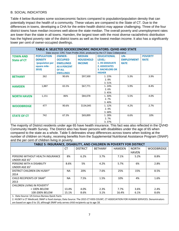#### B. SOCIAL INDICATORS

Table 4 below illustrates some socioeconomic factors compared to population/population density that can potentially impact the health of a community. These values are compared to the State of CT. Due to the differences in towns, developing a CHA for the entire health district may appear challenging. Three of the four district towns have median incomes well-above the state median. The overall poverty and unemployment rates are lower than the state in all towns. Hamden, the largest town with the most diverse racial/ethnic distribution has the highest poverty rate of the district towns as well as the lowest median income. It also has a significantly lower per cent of owner-occupied dwellings.

|                    | <b>TABLE 4: SELECTED SOCIOECONOMIC INDICATORS: QVHD AND STATE</b><br>Data source: CRC Town Profile 2016, produced by the CT Data Collaborative |                     |                  |                        |                   |                |
|--------------------|------------------------------------------------------------------------------------------------------------------------------------------------|---------------------|------------------|------------------------|-------------------|----------------|
| <b>TOWN AND</b>    | <b>POPULATION</b>                                                                                                                              | <b>OWNER-</b>       | <b>MEDIAN</b>    | <b>EDUCATIONAL</b>     | UN-               | <b>POVERTY</b> |
| <b>State of CT</b> | <b>DENSITY</b>                                                                                                                                 | <b>OCCUPIED</b>     | <b>HOUSEHOLD</b> | LEVEL:                 | <b>EMPLOYMENT</b> | <b>RATE</b>    |
|                    | (population per                                                                                                                                | <b>DWELLINGS</b>    | <b>INCOME</b>    | <b>1. HS GRADUATE</b>  | <b>RATE</b>       |                |
|                    | square mile-                                                                                                                                   | <b>AS A PERCENT</b> |                  | <b>2. ASSOCIATES</b>   |                   |                |
|                    | 2010)                                                                                                                                          | <b>OF ALL</b>       |                  | <b>3. BACHELORS OR</b> |                   |                |
|                    |                                                                                                                                                | <b>DWELLINGS</b>    |                  | <b>HIGHER</b>          |                   |                |
| <b>BETHANY</b>     | 262                                                                                                                                            | 90.6%               | \$97,500         | 1.23%                  | 5.3%              | 3.9%           |
|                    |                                                                                                                                                |                     |                  | 2.8%                   |                   |                |
|                    |                                                                                                                                                |                     |                  | 3.51%                  |                   |                |
| <b>HAMDEN</b>      | 1,887                                                                                                                                          | 65.5%               | \$67,771         | 1.24%                  | 5.9%              | 8.4%           |
|                    |                                                                                                                                                |                     |                  | 2.6%                   |                   |                |
|                    |                                                                                                                                                |                     |                  | 3.45%                  |                   |                |
| <b>NORTH HAVEN</b> | 1,151                                                                                                                                          | 86%                 | \$84,078         | 1.30%                  | 5.5%              | 4.0%           |
|                    |                                                                                                                                                |                     |                  | 2.7%                   |                   |                |
|                    |                                                                                                                                                |                     |                  | 3.40%                  |                   |                |
| <b>WOODBRIDGE</b>  | 477                                                                                                                                            | 90.6%               | \$134,045        | 1.12%                  | 4.2%              | 2.7%           |
|                    |                                                                                                                                                |                     |                  | 2.4%                   |                   |                |
|                    |                                                                                                                                                |                     |                  | 3.68%                  |                   |                |
| <b>STATE OF CT</b> | 742                                                                                                                                            | 67.3%               | \$69,899         | 1.28%                  | 6.6%              | 10%            |
|                    |                                                                                                                                                |                     |                  | 2.7%                   |                   |                |
|                    |                                                                                                                                                |                     |                  | 3.37%                  |                   |                |

The majority of District residents under age 65 have health insurance. This fact was also reflected in the QVHD Community Health Survey. The District also has fewer persons with disabilities under the age of 65 when compared to the state as a whole. Table 5 delineates sharp differences across towns when looking at the number of children on Husky, receiving benefits from the Supplemental Nutritional Assistance Program (SNAP) and the per cent of children living in poverty.

| TABLE 5: INSURANCE, DISABILITY, AND CHILDREN IN POVERTY FOR DISTRICT |           |                 |                |               |              |                   |
|----------------------------------------------------------------------|-----------|-----------------|----------------|---------------|--------------|-------------------|
|                                                                      | <b>CT</b> | <b>DISTRICT</b> | <b>BETHANY</b> | <b>HAMDEN</b> | <b>NORTH</b> | <b>WOODBRIDGE</b> |
|                                                                      |           |                 |                |               | <b>HAVEN</b> |                   |
| PERSONS WITHOUT HEALTH INSURANCE                                     | 8%        | 6.2%            | 3.7%           | 7.1%          | 5.2%         | 8.8%              |
| UNDER AGE $651$                                                      |           |                 |                |               |              |                   |
| PERSONS WITH A DISABILITY                                            | 8.6%      | 5%              | 4.2%           | 5.7%          | 6%           | 2.8%              |
| UNDER AGE $651$                                                      |           |                 |                |               |              |                   |
| DISTRICT CHILDREN ON HUSKY <sup>2</sup>                              | <b>NA</b> | 20%             | 7.6%           | 25%           | 15%          | 8.5%              |
| 2014                                                                 |           |                 |                |               |              |                   |
| CHILD RECIPIENTS OF SNAP <sup>2</sup>                                | <b>NA</b> | 7.5%            | 1.5%           | 10%           | 4%           | 1.6%              |
| 2013                                                                 |           |                 |                |               |              |                   |
| CHILDREN LIVING IN POVERTY <sup>2</sup>                              |           |                 |                |               |              |                   |
| $<$ 100% BELOW                                                       | 13.4%     | 4.0%            | 2.3%           | 7.7%          | 3.6%         | 2.4%              |
| 100-200% BELOW                                                       | 15.1%     | 8.6%            | 3.1%           | 16.4%         | 6.1%         | 8.6%              |
| 1 Data Source: LIS Cancus Bureau Quick Facts                         |           |                 |                |               |              |                   |

1. Data Source: US Census Bureau Quick Facts

2. HUSKY is CT Medicaid; SNAP is food stamps; Data Source: The 2015 CT KIDS COUNT, CT ASSOCIATION FOR HUMAN SERVICES. Denominators are based on ages 0 to 19, although SNAP only serves child recipients up to age 18.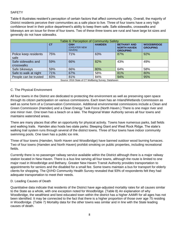#### **SAFETY**

Table 6 illustrates resident's perception of certain factors that affect community safety. Overall, the majority of District residents perceive their communities as a safe place to live. Three of four towns have a very high confidence level in their police department's ability to keep them safe. Safe sidewalks, crosswalks and bikeways are an issue for three of four towns. Two of these three towns are rural and have large lot sizes and generally do not have sidewalks.

| Table 6: Perception of Community Safety             |           |                                              |               |                                                             |                                      |  |
|-----------------------------------------------------|-----------|----------------------------------------------|---------------|-------------------------------------------------------------|--------------------------------------|--|
|                                                     | <b>CT</b> | <b>GNH</b><br><b>(GREATER NEW)</b><br>HAVEN) | <b>HAMDEN</b> | <b>BETHANY AND</b><br><b>NORTH HAVEN</b><br><b>GROUPING</b> | <b>WOODBRIDGE</b><br><b>GROUPING</b> |  |
| Police keep residents<br>safe                       | 75%       | 71%                                          | 63%           | 87%                                                         | 92%                                  |  |
| Safe sidewalks and<br>crosswalks                    | 59%       | 66%                                          | 82%           | 43%                                                         | 49%                                  |  |
| Safe bikeways                                       | 59%       | 66%                                          | 80%           | 64%                                                         | 58%                                  |  |
| Safe to walk at night                               | 71%       | 67%                                          | 58%           | 81%                                                         | 80%                                  |  |
| People can be trusted                               | 83%       | 81%                                          | 84%           | 94%                                                         | 95%                                  |  |
| Course: 2016 State of CT Wallboing Sunsey Databoven |           |                                              |               |                                                             |                                      |  |

#### Source: 2016 State of CT Wellbeing Survey, Datahaven

#### C. The Physical Environment

All four towns in the District are dedicated to protecting the environment as well as preserving open space through its citizen participation on various commissions. Each town has an Inland/Wetlands Commission as well as some form of a Conservation Commission. Additional environmental commissions include a Clean and Green Commission (Hamden) and a Clean Energy Task Force (North Haven.) There is one major river and one minor river. One town has a beach on a lake. The Regional Water Authority serves all four towns and maintains watershed areas.

There are many places that offer an opportunity for physical activity. Towns have numerous parks, ball fields and walking trails. Hamden also hosts two state parks: Sleeping Giant and West Rock Ridge. The state's walking trail system runs through several of the district towns. Three of four towns have indoor community swimming pools. One town has a public ice rink.

Three of four towns (Hamden, North Haven and Woodbridge) have banned outdoor wood burning furnaces. Two of four towns (Hamden and North Haven) prohibit smoking on public properties, including recreational fields.

Currently there is no passenger railway service available within the District although there is a major railway station located in New Haven. There is a bus line serving all four towns, although the route is limited to one major road in Woodbridge and Bethany. Greater New Haven Transit Authority provides transportation to appointments for seniors and the disabled for a small fee. Some towns maintain a bus for transport for elderly clients for shopping. The QVHD Community Health Survey revealed that 93% of respondents felt they had adequate transportation to meet their needs.

#### D. Leading Causes of Death

Quantitative data indicate that residents of the District have age-adjusted mortality rates for all causes similar to the State as a whole, with one exception noted for Woodbridge. (Table 8) An explanation of why Woodbridge, the wealthiest and best educated town within the district has a higher AAMR for all ages has not been identified. It may be connected to the fact that there is a higher proportion of those over age 75 residing in Woodbridge. (Table 7) Mortality data for the other towns was similar and in line with the State leading causes of death.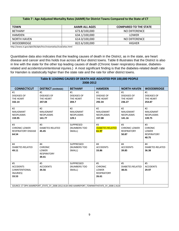|                    | Table 7 . Age-Aufusted Ivibi talky nates (AAIVIII) Tor District Towns Compared to the state of CT |                              |
|--------------------|---------------------------------------------------------------------------------------------------|------------------------------|
| <b>TOWN</b>        | <b>AAMR ALL AGES</b>                                                                              | <b>COMPARED TO THE STATE</b> |
| <b>BETHANY</b>     | 673.8/100,000                                                                                     | NO DIFFERENCE                |
| HAMDEN             | 634.1/100,000                                                                                     | LOWER                        |
| <b>NORTH HAVEN</b> | 614.0/100,000                                                                                     | NO DIFFERENCE                |
| <b>WOODBRIDGE</b>  | 822.6/100,000                                                                                     | <b>HIGHER</b>                |

**Table 7 : Age-Adjusted Mortality Rates (AAMR) for District Towns Compared to the State of CT**

http://www.ct.gov/dph/lib/dph/hisr/instantatlas/lcod/atlas.html

п

Quantitative data also indicates that the leading causes of death in the District, as in the state, are heart disease and cancer and this holds true across all four district towns. Table 8 illustrates that the District is also in line with the state for the other top leading causes of death (Chronic lower respiratory disease, diabetesrelated and accidents/unintentional injuries.) A most significant finding is that the diabetes-related death rate for Hamden is statistically higher than the state rate and the rate for other district towns.

| Table 8: LEADING CAUSES OF DEATH AGE ADJUSTED PER 100,000 PEOPLE<br>2008-2012 |                                                                                                                                |                                                     |                                                              |                                                           |                                                              |
|-------------------------------------------------------------------------------|--------------------------------------------------------------------------------------------------------------------------------|-----------------------------------------------------|--------------------------------------------------------------|-----------------------------------------------------------|--------------------------------------------------------------|
| <b>CONNECTICUT</b>                                                            | <b>DISTRICT</b> (AVERAGE)                                                                                                      | <b>BETHANY</b>                                      | <b>HAMDEN</b>                                                | <b>NORTH HAVEN</b>                                        | <b>WOODBRIDGE</b>                                            |
| #1<br><b>DISEASES OF</b><br>THE HEART<br>332.14                               | #1<br><b>DISEASES OF</b><br>THE HEART<br>247.04                                                                                | #1<br><b>DISEASES OF</b><br>THE HEART<br>204.7      | #1<br><b>DISEASE OF</b><br>THE HEART<br>292.34               | #1<br><b>DISEASES OF</b><br>THE HEART<br>236.27           | #1<br><b>DISEASES OF</b><br>THE HEART<br>254.87              |
| #2<br><b>MALIGNANT</b><br><b>NEOPLASMS</b><br>159.95                          | #2<br><b>MALIGNANT</b><br><b>NEOPLASMS</b><br>141.77                                                                           | #2<br><b>MALIGNANT</b><br><b>NEOPLASMS</b><br>129.1 | #2<br>MALIGNANT<br><b>NEOPLASMS</b><br>157.08                | #2<br>MALIGNANT<br><b>NEOPLASMS</b><br>141.16             | #2<br><b>MALIGNANT</b><br><b>NEOPLASMS</b><br>139.75         |
| #3<br><b>CHRONIC LOWER</b><br><b>RESPIRATORY DISEASE</b><br>64.54             | #3<br><b>DIABETES RELATED</b><br>45.45                                                                                         | <b>SUPPRESED</b><br>(NUMBERS TOO<br>SMALL)          | #3<br><b>DIABETES RELATED</b><br>61.97                       | #3<br><b>CHRONIC LOWER</b><br><b>RESPIRATORY</b><br>50.87 | #3<br><b>CHRONIC</b><br>LOWER<br><b>RESPIRATORY</b><br>40.75 |
| #4<br><b>DIABETES RELATED</b><br>49.11                                        | #4<br><b>CHRONIC</b><br>LOWER<br><b>RESPIRATORY</b><br>39.41                                                                   | <b>SUPPRESSED</b><br>(NUMBERS TOO<br>SMALL)         | #4<br><b>ACCIDENTS</b><br>33.86                              | #4<br><b>ACCIDENTS</b><br>39.85                           | #4<br><b>DIABETES RELATED</b><br>36.38                       |
| #5<br><b>ACCIDENTS</b><br>(UNINTENTIONAL<br>INJURIES)<br>33.53                | #5<br><b>ACCIDENTS</b><br>34.56<br>SOURCE: CT DPH AAMREPORT STATE 5Y 2008-2012.XLSX AND AAMREPORT TOWNWITHSTATE 5Y 2008-2.XLSX | <b>SUPPRESSED</b><br><b>(NUMBERS TOO</b><br>SMALL)  | #5<br><b>CHRONIC</b><br>LOWER<br><b>RESPIRATORY</b><br>26.61 | #5<br><b>DIABETES RELATED</b><br>38.01                    | #5<br><b>ACCIDENTS</b><br>29.97                              |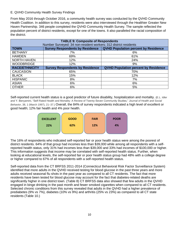#### E. QVHD Community Health Survey Findings

From May 2016 through October 2016, a community health survey was conducted by the QVHD Community Health Coalition. In addition to this survey, residents were also interviewed through the Healthier Greater New Haven Partnership. 346 people completed the QVHD Community Health Survey. The sample reflected the population percent of district residents, except for one of the towns. It also paralleled the racial composition of the district.

| <b>TABLE 9: Composite of Respondents</b><br>Number Surveyed: 34 non-resident workers; 312 district residents |                                        |                                                                        |  |
|--------------------------------------------------------------------------------------------------------------|----------------------------------------|------------------------------------------------------------------------|--|
| <b>TOWN</b>                                                                                                  |                                        | Survey Respondents by Residence   QVHD Population percent by Residence |  |
| <b>BETHANY</b>                                                                                               | 7%                                     | 6%                                                                     |  |
| <b>HAMDEN</b>                                                                                                | 69%                                    | 61%                                                                    |  |
| <b>NORTH HAVEN</b>                                                                                           | 12%                                    | 24%                                                                    |  |
| <b>WOODBRIDGE</b>                                                                                            | 12%                                    | 9%                                                                     |  |
| <b>RACE/ETHNICITY</b>                                                                                        | <b>Survey Respondents by Residence</b> | <b>QVHD Population percent by Residence</b>                            |  |
| <b>CAUCASION</b>                                                                                             | 65%                                    | 70%                                                                    |  |
| <b>BLACK</b>                                                                                                 | 15%                                    | 12%                                                                    |  |
| <b>HISPANIC</b>                                                                                              | 8%                                     | 7%                                                                     |  |
| <b>ASIAN</b>                                                                                                 | 6%                                     | 6%                                                                     |  |
| <b>OTHER</b>                                                                                                 | 6%                                     | 5%                                                                     |  |

Self-reported current health status is a good predictor of future disability, hospitalization and mortality. (E.L. Idler and Y. Benyamini, "Self-Rated Health and Mortality: A Review of Twenty-Seven Community Studies," *Journal of Health and Social Behavior*, 38, 1 (March 1997), 21–37.) Overall, the 84% of survey respondents indicated a high level of excellent or good health; 12% fair health and 4% poor health.



The 16% of respondents who indicated self-reported fair or poor health status were among the poorest of district residents. 64% of that group had incomes less than \$39,000 while among all respondents with a selfreported health status, only 31% had incomes less than \$39,000 and 33% had incomes of \$100,000 or higher. This information suggests that income may be correlated with self-reported health status. Further, when looking at educational levels, the self-reported fair or poor health status group had 48% with a college degree or higher compared to 67% of all respondents with a self-reported health status.

Self-reported data from the CT BRFSS 2011-2014 (Connecticut Behavioral Risk Factor Surveillance System) identified that more adults in the QVHD received testing for blood glucose in the past three years and more adults received seasonal flu shots in the past year as compared to all CT residents. The fact that more residents have been tested for blood glucose may account for the fact that diabetes-related deaths are significantly higher in one district town. (Table 8) CT BRFSS data also showed that few adults in the QVHD engaged in binge drinking in the past month and fewer smoked cigarettes when compared to all CT residents. Selected chronic conditions from this survey revealed that adults in the QVHD had a higher prevalence of prediabetes (9% vs 7%), diabetes (10% vs 9%) and arthritis (25% vs 23%) as compared to all CT state residents (Table 10.)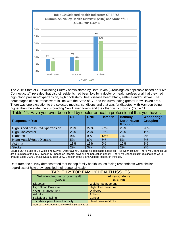

The 2016 State of CT Wellbeing Survey administered by DataHaven (Groupings as applicable based on "Five Connecticuts") revealed that district residents had been told by a doctor or health professional that they had high blood pressure/hypertension, high cholesterol, heat disease/heart attack, asthma and/or stroke. The percentages of occurrence were in line with the State of CT and the surrounding greater New Haven area. There was one exception to the selected medical conditions and that was for diabetes, with Hamden being higher than the state, the surrounding New Haven towns and the other district towns. (Table 11)

| Table 11: Have you ever been told by doctor or health professional that you have |     |            |               |                                                   |                               |
|----------------------------------------------------------------------------------|-----|------------|---------------|---------------------------------------------------|-------------------------------|
| <b>Response = Yes</b>                                                            | CT  | <b>GNH</b> | <b>Hamden</b> | Bethany,<br><b>North Haven</b><br><b>Grouping</b> | Woodbridge<br><b>Grouping</b> |
| High Blood pressure/Hypertension                                                 | 28% | 27%        | 27%           | 25%                                               | 20%                           |
| <b>High Cholesterol</b>                                                          | 23% | 23%        | 22%           | 23%                                               | 19%                           |
| <b>Diabetes</b>                                                                  | 9%  | 9%         | 13%           | 7%                                                | 4%                            |
| <b>Heart Attack/Heart Disease</b>                                                | 5%  | 6%         | 5%            | 5%                                                | 3%                            |
| Asthma                                                                           | 13% | 13%        | 6%            | 12%                                               | 8%                            |
| Stroke                                                                           | 2%  | 3%         | 3%            | 2%                                                | 2%                            |

Source: 2016 State of CT Wellbeing Survey, DataHaven; Grouping as applicable based on "Five Connecticuts" The "Five Connecticuts are groupings of the 169 towns in CT based on income, poverty and population density. The "Five Connecticuts" designations were created using 2010 Census Data by Don Levy, Director of the Siena College Research Institute.

Data from the survey demonstrated that the top family health issues facing respondents were similar regardless of how they identified their personal health.

| <b>TABLE 12: TOP FAMILY HEALTH ISSUES</b> |                            |  |  |
|-------------------------------------------|----------------------------|--|--|
| Self-identified fair or poor health       | All respondents            |  |  |
| $(N=53)$                                  | $(N=320)$                  |  |  |
| <b>Diabetes</b>                           | Weight management          |  |  |
| <b>High Blood Pressure</b>                | <b>High blood pressure</b> |  |  |
| Weight management                         | <b>Diabetes</b>            |  |  |
| Arthritis                                 | <b>Arthritis</b>           |  |  |
| Falls/fear of falling                     | Cancer                     |  |  |
| Joint/back pain, limited mobility         | Heart disease/stroke       |  |  |
| Source: QVHD Community Health Survey 2016 |                            |  |  |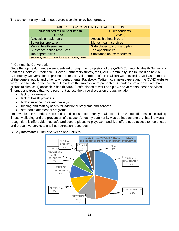The top community health needs were also similar by both groups.

| <b>TABLE 13: TOP COMMUNITY HEALTH NEEDS</b>    |                               |  |  |
|------------------------------------------------|-------------------------------|--|--|
| Self-identified fair or poor health            | All respondents               |  |  |
| $(N=53)$                                       | $(N=344)$                     |  |  |
| Accessible health care                         | Accessible health care        |  |  |
| <b>Better transportation</b>                   | <b>Mental health services</b> |  |  |
| <b>Mental health services</b>                  | Safe places to work and play  |  |  |
| Substance abuse resources                      | Job opportunities             |  |  |
| Substance abuse resources<br>Job opportunities |                               |  |  |
| Source: QVHD Community Health Survey 2016      |                               |  |  |

#### F. Community Conversation

Once the top health needs were identified through the completion of the QVHD Community Health Survey and from the Healthier Greater New Haven Partnership survey, the QVHD Community Health Coalition held a Community Conversation to present the results. All members of the coalition were invited as well as members of the general public and other town departments. Facebook, Twitter, local newspapers and the QVHD website were used to extend the invitation. Data from the surveys were presented. Attendees broke down into three groups to discuss 1) accessible health care, 2) safe places to work and play, and 3) mental health services. Themes and trends that were recurrent across the three discussion groups include:

- lack of awareness
- lack of health providers
- high insurance costs and co-pays
- funding and staffing needs for additional programs and services
- affordable afterschool programs

On a whole, the attendees accepted and discussed community health to include various dimensions including illness, wellbeing and the prevention of disease. A healthy community was defined as one that has individual recognition, is affordable; has safe and secure places to play, work and live; offers good access to health care and preventive services; and has recreation resources.

#### G. Key Informants Summary: Needs and Barriers

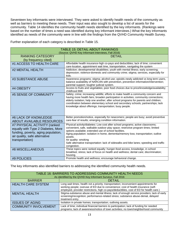Seventeen key informants were interviewed. They were asked to identify health needs of the community as well as barriers to meeting these needs. Their input was also sought to develop a list of assets for the community. Table 14 identifies the community health needs identified by the key informants. (Rankings were based on the number of times a need was identified during key informant interviews.) What the key informants identified as needs of the community were in line with the findings from the QVHD Community Health Survey.

| <b>TABLE 15: DETAIL ABOUT RANKINGS</b><br>(Source: QVHD Key Informant Interviews, Fall 2016)                                                                  |                                                                                                                                                                                                                                                                                                                                                                                                                                                                 |  |  |  |
|---------------------------------------------------------------------------------------------------------------------------------------------------------------|-----------------------------------------------------------------------------------------------------------------------------------------------------------------------------------------------------------------------------------------------------------------------------------------------------------------------------------------------------------------------------------------------------------------------------------------------------------------|--|--|--|
| <b>RANKING CATEGORY</b><br>(by frequency cited)                                                                                                               | <b>DETAIL</b>                                                                                                                                                                                                                                                                                                                                                                                                                                                   |  |  |  |
| #1 ACCESS TO HEALTH CARE                                                                                                                                      | Affordable health insurance-high co-pays and deductibles; lack of time; convenient<br>care-location, appointment wait time, transportation, navigating the system                                                                                                                                                                                                                                                                                               |  |  |  |
| #2 MENTAL HEALTH                                                                                                                                              | Addiction; developmental disabilities; youth with mental illness; early screening;<br>depression; violence-domestic and community crime; stigma; services, especially for<br>kids.                                                                                                                                                                                                                                                                              |  |  |  |
| #3 SUBSTANCE ABUSE                                                                                                                                            | Awareness programs; stigma; alcohol use; opioids-newly addicted vs long term users,<br>balance availability of NARCAN with prevention, prevention information/intervention;<br>parental support; tougher judicial system.                                                                                                                                                                                                                                       |  |  |  |
| #4 OBESITY                                                                                                                                                    | Access to fruits and vegetables; poor food choices due to price/knowledge/availability;<br>childhood BMI                                                                                                                                                                                                                                                                                                                                                        |  |  |  |
| #5 SENSE OF COMMUNITY                                                                                                                                         | Safety; crime; increasing wildlife; efforts to make health a community concern and<br>having more health fairs; broaden participation in activities; community connections;<br>elderly isolation; help one another; after school programs for parents and children;<br>coordination between elementary school and secondary schools; partnerships; lack<br>knowledge about offerings; transportation; busy people.                                              |  |  |  |
| #6 LACK OF KNOWLEDGE<br>ABOUT AVAILABLE RESOURCES                                                                                                             | Better promotion/notice, especially for newcomers; people are busy; avoid preventive<br>care-fear of results; emerging condition information.                                                                                                                                                                                                                                                                                                                   |  |  |  |
| #7 PHYSICAL ACTIVITY (ranked<br>equally with Type 2 Diabetes, More<br>funding, poverty, aging population,<br>air quality, safe alternative<br>transportation) | Physical activity/diabetes: Low cost after school programs; active classrooms;<br>convenient, safe, walkable outdoor play space; restrictive program times; limited<br>options available; extended use of school facilities.<br>Aging population: isolation in home, dementia/memory loss; transportation; outlive<br>assets.<br>Air quality: smoking<br>Safe alternative transportation: lack of sidewalks and bike lanes; speeding and traffic<br>congestion. |  |  |  |
| #8 MISCELLANEOUS                                                                                                                                              | These topics were ranked equally: hunger-food access, knowledge, in school<br>breakfast; stress; lack of focus on health and wellness; dental care; discrimination;<br>housing.                                                                                                                                                                                                                                                                                 |  |  |  |
| #9 POLICIES                                                                                                                                                   | Promote health and wellness; encourage behavioral change.                                                                                                                                                                                                                                                                                                                                                                                                       |  |  |  |

Further explanation of each category is described in Table 15.

The key informants also identified barriers to addressing the identified community health needs.

| TABLE 16: BARRIERS TO ADDRESSING COMMUNITY HEALTH NEEDS |                                                                                                                                                                                                                                                                       |  |  |
|---------------------------------------------------------|-----------------------------------------------------------------------------------------------------------------------------------------------------------------------------------------------------------------------------------------------------------------------|--|--|
|                                                         | As identified by the QVHD Key Informant Surveys, Fall 2016                                                                                                                                                                                                            |  |  |
| <b>BARRIER</b>                                          | <b>DETAIL</b>                                                                                                                                                                                                                                                         |  |  |
| <b>HEALTH CARE SYSTEM</b>                               | Long wait times; health not a priority; transportation; inconvenient appointments for<br>working people; overuse of ED due to convenience; cost of health insurance (self-<br>employed, provider restrictions, high co-pays/deductibles, cost of ED for health care.) |  |  |
| <b>MENTAL HEALTH</b>                                    | Stigma-substance abuse and mental illness; lack of enough service providers; lack of early<br>screening/recognition; performance-related stress; substance abuse-denial, delayed<br>treatment entry.                                                                  |  |  |
| <b>ISSUES OF AGING</b>                                  | Isolation in private homes; transportation; outliving assets.                                                                                                                                                                                                         |  |  |
| <b>COMMUNITY INVOLVEMENT</b>                            | Lack of time; individual financial barriers to participation; lack of funding for needed<br>programs; lack of awareness/notice of town activities; no town/neighborhood community                                                                                     |  |  |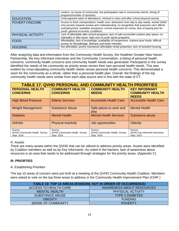|                   | centers; no sense of community; low participation rate in community events; timing of<br>programs/number of sessions.                                                                                                                                                                                                        |
|-------------------|------------------------------------------------------------------------------------------------------------------------------------------------------------------------------------------------------------------------------------------------------------------------------------------------------------------------------|
| <b>EDUCATION</b>  | Unrecognized value of attendance; minimal in class and after school physical activity                                                                                                                                                                                                                                        |
| POVERTY/INCOME    | Access to food; transportation; health care; distraction from day to day needs; worker belief<br>only poverty impacts access and understanding; no recognition that everyone can't afford;<br>unemployment; available assistance; school expenses for extras; lack of paying jobs for<br>youth; general economic conditions. |
| PHYSICAL ACTIVITY | Lack of affordable after school programs; lack of safe accessible outdoor play space; no<br>sidewalks or bike lanes; high cost of youth sports programs.                                                                                                                                                                     |
| <b>FOOD</b>       | Affordability; lack of knowledge; availability of inexpensive, nutrient-poor foods; difficult<br>access for Woodbridge, Bethany and lower Hamden.                                                                                                                                                                            |
| <b>HOUSING</b>    | Not affordable; poorly maintained affordable rental properties; lack of assisted housing.                                                                                                                                                                                                                                    |

After analyzing data and information from the Community Health Survey, the Healthier Greater New Haven Partnership, the Key Informant interviews and the Community Conversation, a listing of personal health concerns, community health concerns and community health needs was generated. Participants in the survey identified the needs of the community as priority areas verses their own personal health needs. This was evident by cross-tabulating community health needs verses personal health concerns. This demonstrated a vison for the community as a whole, rather than a personal health plan. Overall, the findings of the top community health needs were similar from each data source and in line with the state of CT.

| <b>TABLE 17: QVHD PERSONAL AND COMMUNITY HEALTH PRIORITIES</b> |                                                              |                                                              |                                                                 |  |
|----------------------------------------------------------------|--------------------------------------------------------------|--------------------------------------------------------------|-----------------------------------------------------------------|--|
| <b>PERSONAL HEALTH</b><br><b>CONCERNS</b>                      | <b>COMMUNITY HEALTH</b><br><b>CONCERNS</b>                   | <b>COMMUNITY HEALTH</b><br><b>NEEDS</b>                      | <b>KEY INFORMANT</b><br><b>COMMUNITY HEALTH</b><br><b>NEEDS</b> |  |
| <b>High Blood Pressure</b>                                     | <b>Elderly Services</b>                                      | <b>Accessible Health Care</b>                                | <b>Accessible Health Care</b>                                   |  |
| <b>Weight Management</b>                                       | Substance Abuse                                              | Safe places to work and<br>play                              | <b>Mental Health</b>                                            |  |
| <b>Diabetes</b>                                                | <b>Mental Health</b>                                         | <b>Mental Health Services</b>                                | Substance abuse                                                 |  |
| <b>Arthritis</b>                                               | <b>Physical Inactivity</b>                                   | Job opportunities                                            | <b>Obesity</b>                                                  |  |
| Source:<br><b>QVHD Community Health Survey</b><br>Sept. 2016   | Source:<br><b>QVHD Community Health Survey</b><br>Sept. 2016 | Source:<br><b>QVHD Community Health Survey</b><br>Sept. 2016 | Source:<br><b>QVHD Key Informant Interviews</b><br>Sept. 2016   |  |

#### H. Assets

There are many assets within the QVHD that can be utilized to address priority areas. Assets were identified by Coalition members as well as by Key Informants. As noted in the barriers, lack of awareness about resources is an area that needs to be addressed through strategies for the priority areas. (Appendix C)

#### **III: PRIORTIES**

#### A. Establishing Priorities

The top 10 areas of concern were put forth at a meeting of the QVHD Community Health Coalition. Members were asked to vote on the top three areas to address in the Community Health Improvement Plan (CHIP.)

| <b>TABLE 18: TOP 10 AREAS (RANDOM, NOT IN ORDER OF OCCURRENCE)</b> |                           |  |  |  |
|--------------------------------------------------------------------|---------------------------|--|--|--|
| <b>ACCESS TO HEALTH CARE</b>                                       | AWARENESS ABOUT RESOURCES |  |  |  |
| <b>MENTAL HEALTH</b>                                               | <b>PHYSICAL ACTIVITY</b>  |  |  |  |
| <b>SUBSTANCE ABUSE</b>                                             | <b>TYPE 2 DIABETES</b>    |  |  |  |
| <b>OBESITY</b>                                                     | <b>FUNDING</b>            |  |  |  |
| <b>SENSE OF COMMUNITY</b>                                          | <b>POVERTY</b>            |  |  |  |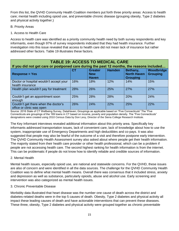From this list, the QVHD Community Health Coalition members put forth three priority areas: Access to health care; mental health including opioid use, and preventable chronic disease (grouping obesity, Type 2 diabetes and physical activity together.)

- B. Priority Areas
- 1. Access to Health Care

Access to health care was identified as a priority community health need by both survey respondents and key informants, even though 97% of survey respondents indicated that they had health insurance. Further investigation into this issue revealed that access to health care did not mean lack of insurance but rather addressed other factors. Table 19 illustrates these factors.

| <b>TABLE 19: ACCESS TO MEDICAL CARE</b><br>If you did not get care or postponed care during the past 12 months, the reasons included |     |                                              |               |                                                   |                               |
|--------------------------------------------------------------------------------------------------------------------------------------|-----|----------------------------------------------|---------------|---------------------------------------------------|-------------------------------|
| <b>Response = Yes</b>                                                                                                                | СT  | <b>Greater</b><br><b>New</b><br><b>Haven</b> | <b>Hamden</b> | Bethany,<br><b>North Haven</b><br><b>Grouping</b> | Woodbridge<br><b>Grouping</b> |
| Doctor or hospital wouldn't accept your<br>health insurance                                                                          | 16% | 18%                                          | 12%           | 14%                                               | 15%                           |
| Health plan wouldn't pay for treatment                                                                                               | 28% | 26%                                          | 25%           | 27%                                               | 27%                           |
| Couldn't get an appointment soon<br>enough                                                                                           | 25% | 28%                                          | 28%           | 20%                                               | 24%                           |
| Couldn't get there when the doctor's<br>office or clinic was open                                                                    | 26% | 24%                                          | 22%           | 25%                                               | 22%                           |

Source: 2016 State of CT Wellbeing Survey, DataHaven; Groupings as applicable based on "Five Connecticuts" The "Five Connecticuts are groupings of the 169 towns in CT based on income, poverty and population density. The "Five Connecticuts" designations were created using 2010 Census Data by Don Levy, Director of the Siena College Research Institute.

The Key Informant interviews revealed additional information about this priority area. Specifically key informants addressed transportation issues, lack of convenient care, lack of knowledge about how to use the system, inappropriate use of Emergency Departments and high deductibles and co-pays. It was also suggested that people may also be fearful of the outcome of a visit and therefore postpone early intervention. The QVHD Community Health Assessment survey also asked about where people get their health information. The majority stated from their health care provider or other health professional, which can be a problem if people are not accessing health care. The second highest ranking for health information is from the internet. This can be problematic if people do not know how to identify reliable and credible sources of information.

#### 2. Mental Health

Mental health issues, especially opioid use, are national and statewide concerns. For the QVHD, these issues are also of concern and were identified in all the data sources. The challenge for the QVHD Community Health Coalition was to define what mental health means. Overall there was consensus that it included stress, anxiety and depression as well as substance, particularly opioids, abuse and alcohol use. Early screening and intervention was also categorized as mental health issues.

#### 3. Chronic Preventable Disease

Morbidity data illustrated that heart disease was the number one cause of death across the district and diabetes-related deaths were in the top 5 causes of death. Obesity, Type 2 diabetes and physical activity all impact these leading causes of death and have actionable interventions that can prevent these diseases. These three, obesity, Type 2 diabetes and physical activity were grouped together as chronic preventable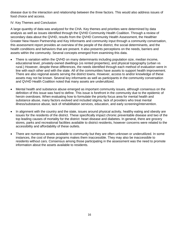disease due to the interaction and relationship between the three factors. This would also address issues of food choice and access.

#### IV. Key Themes and Conclusion

A large quantity of data was analyzed for the CHA. Key themes and priorities were determined by data analysis as well as issues identified through the QVHD Community Health Coalition. Through a review of secondary data about the QVHD, results from the QVHD Community Health Assessment, the Healthier Greater New Haven Partnership and Key Informants and community input through a community conversation, this assessment report provides an overview of the people of the district, the social determinants, and the health conditions and behaviors that are present. It also presents perceptions on the needs, barriers and assets within the community. Several concepts emerged from examining this data.

- There is variation within the QVHD on many determinants including population size, median income, educational level, privately-owned dwellings (vs rented properties), and physical topography (urban vs rural.) However, despite these differences, the needs identified through each method of evaluation were in line with each other and with the state. All of the communities have assets to support health improvement. There are also regional assets serving the district towns. However, access to and/or knowledge of these assets may not be known. Several key informants as well as participants in the community conversation and QVHD Health Coalition noted that many assets are underutilized.
- Mental health and substance abuse emerged as important community issues, although consensus on the definition of this issue was hard to define. This issue is forefront in the community due to the epidemic of heroin overdoses. When evaluating how to formulate the priority focus area for mental health and substance abuse, many factors evolved and included stigma, lack of providers who treat mental illness/substance abuse, lack of rehabilitation services, education, and early screening/intervention.
- In alignment with the country and the state, issues around physical activity, healthy eating and obesity are issues for the residents of the district. These specifically impact chronic preventable disease and two of the top leading causes of mortality for the district: heart disease and diabetes. In general, there are grocery stores, parks and recreational facilities available to district residents, however concerns were related to the accessibility and affordability of these outlets.
- There are numerous assets available to community but they are often unknown or underutilized. In some instances, the cost of these programs makes them inaccessible. They may also be inaccessible to residents without cars. Consensus among those participating in the assessment was the need to promote information about the assets available to residents.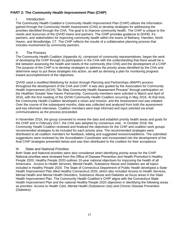#### **PART 2: The Community Health Improvement Plan (CHIP)**

#### I. Introduction

The Community Health Coalition's Community Health Improvement Plan (CHIP) utilizes the information gained through the Community Health Assessment (CHA) to develop strategies for addressing the priorities identified through the CHA. The goal is to improve community health. The CHIP is unique to the needs and resources of the QVHD towns and partners. The CHIP provides guidance to QVHD, it's partners, and stakeholders for improving community health within the towns of Bethany, Hamden, North Haven, and Woodbridge, CT. The CHIP reflects the results of a collaborative planning process that includes involvement by community partners.

#### II. The Process

The Community Health Coalition (Appendix A), comprised of community representatives, began the work of developing the CHIP through its participation in the CHA with the understanding that there would be a link between assessing the health and needs of the community (the CHA) and the development of a CHIP. The purpose of the CHIP is to develop strategies to address the priority areas identified by the CHA and determine ways to put these strategies into action, as well as devising a plan for monitoring progress toward accomplishment of the objectives.

QVHD used a modified Mobilizing for Action through Planning and Partnerships (MAPP) process throughout the development of the CHA and CHIP. It was also guided by the Association for Community Health Improvement (ACHI) "Six Step Community Health Assessment Process" through participation on the Healthier Greater New Haven Partnership. Community members were solicited in March and April of 2016, with the first meeting of the QVHD Community Health Coalition occurring in May 2016. At that time, the Community Health Coalition developed a vision and mission, and the Assessment tool was initiated. Over the course of the subsequent months, data was collected and analyzed from both the assessment and key informant interviews. Coalition members were kept informed and input solicited via email communications as the process proceeded.

In November 2016, the group convened to review the data and establish priority health areas and goals for the CHIP and in February 2017, the CHA was adopted by consensus vote. In October 2018, the Community Health Coalition reviewed and finalized the objectives for the CHIP and coalition work groups recommended strategies to be included for each priority area. The recommended strategies were distributed to all coalition members for feedback, editing and suggested revisions/additions. The submitted suggestions were reviewed by the Accreditation Coordinator and incorporated into the development of the final CHIP strategies presented below and was then distributed to the coalition for their acceptance.

#### III. State and National Priorities

Both State and National priorities were also considered when identifying priority areas for the CHIP. National priorities were reviewed from the Office of Disease Prevention and Health Promotion's Healthy People 2020. Healthy People 2020 outlines 10-year national objectives for improving the health of all Americans. Access to Health Services, Mental Health, Substance Abuse and Diabetes are all topics included in Healthy People 2020. The State of Connecticut Department of Public Health developed a State Health Improvement Plan titled Healthy Connecticut 2020, which also included Access to Health Services, Mental Health and Mental Health Disorders, Substance Abuse and Diabetes as focus areas in the State Health Improvement Plan. The Community Health Coalition's CHIP aligns with the Connecticut State Health Improvement Plan and the national Healthy People 2020 objectives in identifying the following areas as priorities: Access to Health Care, Mental Health (Substance Use) and Chronic Disease Prevention (Diabetes).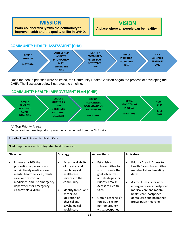## **MISSION**

**Work collaboratively with the community to improve health and the quality of life in QVHD.**

### **VISION**

**A place where all people can be healthy.** 

#### **COMMUNITY HEALTH ASSESSMENT (CHA)**



Once the health priorities were selected, the Community Health Coalition began the process of developing the CHIP. The illustration below illustrates the timeline.

#### **COMMUNTIY HEALTH IMPROVEMENT PLAN (CHIP)**



IV. Top Priority Areas

Below are the three top priority areas which emerged from the CHA data.

#### **Priority Area 1:** Access to Health Care

**Goal:** Improve access to integrated health services.

| Objective<br><b>Strategy</b>                                                                                                                                                                                                                                                                                                                                                                                                                                                               | <b>Action Steps</b>                                                                                                                                                                                                                           | <b>Indicators</b>                                                                                                                                                                                                                                                                               |
|--------------------------------------------------------------------------------------------------------------------------------------------------------------------------------------------------------------------------------------------------------------------------------------------------------------------------------------------------------------------------------------------------------------------------------------------------------------------------------------------|-----------------------------------------------------------------------------------------------------------------------------------------------------------------------------------------------------------------------------------------------|-------------------------------------------------------------------------------------------------------------------------------------------------------------------------------------------------------------------------------------------------------------------------------------------------|
| Increase by 10% the<br>Assess availability<br>$\bullet$<br>$\bullet$<br>proportion of persons who<br>of physical and<br>obtain timely medical care,<br>psychological<br>mental health services, dental<br>health care<br>care, or prescription<br>services to the<br>medicines, and use emergency<br>community.<br>department for emergency<br>visits within 3 years.<br>Identify trends and<br>$\bullet$<br>barriers to<br>utilization of<br>physical and<br>psychological<br>health care | Establish a<br>$\bullet$<br>subcommittee to<br>work towards the<br>goal, objectives<br>and strategies for<br>Priority Area 1:<br>Access to Health<br>Care.<br>Obtain baseline #'s<br>for: ED visits for<br>non-emergency<br>visits, postponed | Priority Area 1: Access to<br>$\bullet$<br>Health Care subcommittee<br>member list and meeting<br>dates.<br>#'s for: ED visits for non-<br>$\bullet$<br>emergency visits, postponed<br>medical care and mental<br>health care, postponed<br>dental care and postponed<br>prescription medicine. |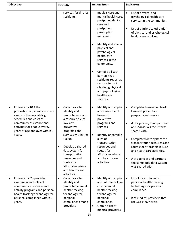| Objective                                                                                                                                                                                                                          | <b>Strategy</b>                                                                                                                                                   | <b>Action Steps</b>                                                                                                                                                                               | <b>Indicators</b>                                                                                                                                                                                                                  |  |
|------------------------------------------------------------------------------------------------------------------------------------------------------------------------------------------------------------------------------------|-------------------------------------------------------------------------------------------------------------------------------------------------------------------|---------------------------------------------------------------------------------------------------------------------------------------------------------------------------------------------------|------------------------------------------------------------------------------------------------------------------------------------------------------------------------------------------------------------------------------------|--|
|                                                                                                                                                                                                                                    | services for district<br>residents.                                                                                                                               | medical care and<br>mental health care,<br>postponed dental<br>care and<br>postponed<br>prescription<br>medicine.<br>Identify and assess                                                          | List of physical and<br>$\bullet$<br>psychological health care<br>services in the community.<br>List of barriers to utilization<br>$\bullet$<br>of physical and psychological<br>health care services.                             |  |
|                                                                                                                                                                                                                                    |                                                                                                                                                                   | physical and<br>psychological<br>health care<br>services in the<br>community.                                                                                                                     |                                                                                                                                                                                                                                    |  |
|                                                                                                                                                                                                                                    |                                                                                                                                                                   | Compile a list of<br>$\bullet$<br>barriers that<br>residents report as<br>reasons for not<br>obtaining physical<br>and psychological<br>health care<br>services.                                  |                                                                                                                                                                                                                                    |  |
| Increase by 10% the<br>$\bullet$<br>proportion of persons who are<br>aware of the availability,<br>schedules and costs of<br>community assistance and<br>activities for people over 65<br>years of age and over within 3<br>years. | Collaborate to<br>$\bullet$<br>identify and<br>promote access to<br>a resource file of<br>low-cost<br>preventive<br>programs and<br>services within the           | Identify or compile<br>$\bullet$<br>a resource file of<br>low-cost<br>preventive<br>programs and<br>services.<br>Identify or compile                                                              | Completed resource file of<br>$\bullet$<br>low-cost preventive<br>programs and service.<br># of agencies, town partners<br>and individuals the list was<br>shared with.                                                            |  |
|                                                                                                                                                                                                                                    | region.<br>Develop a shared<br>$\bullet$<br>data system for<br>transportation<br>resources and<br>routes for<br>affordable leisure<br>and health care             | a list of<br>transportation<br>resources and<br>routes for<br>affordable leisure<br>and health care<br>activities.                                                                                | Completed data system for<br>$\bullet$<br>transportation resources and<br>routes for affordable leisure<br>and health care activities.<br># of agencies and partners<br>$\bullet$<br>the completed data system<br>was shared with. |  |
| Increase by 5% provider<br>$\bullet$<br>awareness and roles of<br>community assistance and<br>activity programs and personal<br>health tracking technology for<br>personal compliance within 3<br>years.                           | activities.<br>Collaborate to<br>$\bullet$<br>identify and<br>promote personal<br>health tracking<br>technology for<br>personal<br>compliance among<br>providers. | Identify or compile<br>$\bullet$<br>a list of free or low-<br>cost personal<br>health tracking<br>technology for<br>personal<br>compliance.<br>Obtain a list of<br>$\bullet$<br>medical providers | List of free or low-cost<br>$\bullet$<br>personal health tracking<br>technology for personal<br>compliance<br># of medical providers that<br>list was shared with.                                                                 |  |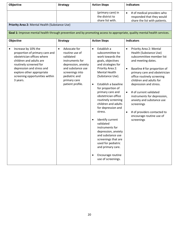| Objective | <b>Strategy</b> | <b>Action Steps</b>                                      | Indicators                                                                               |
|-----------|-----------------|----------------------------------------------------------|------------------------------------------------------------------------------------------|
|           |                 | (primary care) in<br>the district to<br>share list with. | # of medical providers who<br>responded that they would<br>share the list with patients. |

**Priority Area 2:** Mental Health (Substance Use)

**Goal 1:** Improve mental health through prevention and by promoting access to appropriate, quality mental health services.

| Objective                                                                                                                                                                                                                                        | <b>Strategy</b>                                                                                                                                                                                 | <b>Action Steps</b>                                                                                                                                                                                                                                                                                                                                                                                                                                                                                                                                                                                   | <b>Indicators</b>                                                                                                                                                                                                                                                                                                                                                                                                                                                                        |
|--------------------------------------------------------------------------------------------------------------------------------------------------------------------------------------------------------------------------------------------------|-------------------------------------------------------------------------------------------------------------------------------------------------------------------------------------------------|-------------------------------------------------------------------------------------------------------------------------------------------------------------------------------------------------------------------------------------------------------------------------------------------------------------------------------------------------------------------------------------------------------------------------------------------------------------------------------------------------------------------------------------------------------------------------------------------------------|------------------------------------------------------------------------------------------------------------------------------------------------------------------------------------------------------------------------------------------------------------------------------------------------------------------------------------------------------------------------------------------------------------------------------------------------------------------------------------------|
| Increase by 10% the<br>proportion of primary care and<br>obstetrician offices where<br>children and adults are<br>routinely screened for<br>depression and stress and<br>explore other appropriate<br>screening opportunities within<br>3 years. | Advocate for<br>$\bullet$<br>routine use of<br>validated<br>instruments for<br>depression, anxiety<br>and substance use<br>screenings into<br>pediatric and<br>primary care<br>patient profile. | Establish a<br>$\bullet$<br>subcommittee to<br>work towards the<br>goals, objectives<br>and strategies for<br>Priority Area 2:<br><b>Mental Health</b><br>(Substance Use).<br>Establish a baseline<br>$\bullet$<br>for proportion of<br>primary care and<br>obstetrician office<br>routinely screening<br>children and adults<br>for depression and<br>stress.<br>Identify current<br>$\bullet$<br>validated<br>instruments for<br>depression, anxiety<br>and substance use<br>screenings that are<br>used for pediatric<br>and primary care.<br>Encourage routine<br>$\bullet$<br>use of screenings. | Priority Area 2: Mental<br>$\bullet$<br>Health (Substance Use)<br>subcommittee member list<br>and meeting dates.<br>Baseline # for proportion of<br>$\bullet$<br>primary care and obstetrician<br>office routinely screening<br>children and adults for<br>depression and stress.<br># of current validated<br>$\bullet$<br>instruments for depression,<br>anxiety and substance use<br>screenings<br># of providers contacted to<br>$\bullet$<br>encourage routine use of<br>screenings |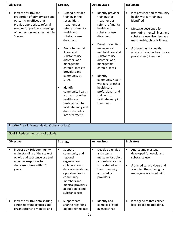| Objective                                                                                                                                                                                                         | <b>Strategy</b>                                                                                                                                                                                                                                                                                                                                                                                                                                                                         | <b>Action Steps</b>                                                                                                                                                                                                                                                                                                                                                                                                                          | <b>Indicators</b>                                                                                                                                                                                                                                                                                                           |
|-------------------------------------------------------------------------------------------------------------------------------------------------------------------------------------------------------------------|-----------------------------------------------------------------------------------------------------------------------------------------------------------------------------------------------------------------------------------------------------------------------------------------------------------------------------------------------------------------------------------------------------------------------------------------------------------------------------------------|----------------------------------------------------------------------------------------------------------------------------------------------------------------------------------------------------------------------------------------------------------------------------------------------------------------------------------------------------------------------------------------------------------------------------------------------|-----------------------------------------------------------------------------------------------------------------------------------------------------------------------------------------------------------------------------------------------------------------------------------------------------------------------------|
| Increase by 10% the<br>$\bullet$<br>proportion of primary care and<br>obstetrician offices that<br>provide appropriate referral<br>sources for positive screenings<br>of depression and stress within<br>3 years. | Expand provider<br>$\bullet$<br>training in the<br>recognition,<br>treatment or<br>referral of mental<br>health and<br>substance use<br>disorders.<br>Promote mental<br>$\bullet$<br>illness and<br>substance use<br>disorders as a<br>manageable,<br>chronic illness to<br>providers and<br>community at<br>large.<br>Identify<br>$\bullet$<br>community health<br>workers (or other<br>health care<br>professional) to<br>facilitate entry and<br>discuss benefits<br>into treatment. | Identify provider<br>$\bullet$<br>trainings for<br>treatment or<br>referral of mental<br>health and<br>substance use<br>disorders.<br>Develop a unified<br>$\bullet$<br>message for<br>mental illness and<br>substance use<br>disorders as a<br>manageable,<br>chronic illness.<br>Identify<br>$\bullet$<br>community health<br>workers (or other<br>health care<br>professional) and<br>trainings to<br>facilitate entry into<br>treatment. | # of provider and community<br>$\bullet$<br>health worker trainings<br>identified<br>Message developed for<br>$\bullet$<br>promoting mental illness and<br>substance use disorders as a<br>manageable, chronic illness.<br># of community health<br>$\bullet$<br>workers (or other health care<br>professional) identified. |
| Priority Area 2: Mental Health (Substance Use)                                                                                                                                                                    |                                                                                                                                                                                                                                                                                                                                                                                                                                                                                         |                                                                                                                                                                                                                                                                                                                                                                                                                                              |                                                                                                                                                                                                                                                                                                                             |
| Goal 2: Reduce the harms of opioids.                                                                                                                                                                              |                                                                                                                                                                                                                                                                                                                                                                                                                                                                                         |                                                                                                                                                                                                                                                                                                                                                                                                                                              |                                                                                                                                                                                                                                                                                                                             |
| <b>Objective</b>                                                                                                                                                                                                  | <b>Strategy</b>                                                                                                                                                                                                                                                                                                                                                                                                                                                                         | <b>Action Steps</b>                                                                                                                                                                                                                                                                                                                                                                                                                          | <b>Indicators</b>                                                                                                                                                                                                                                                                                                           |

| Objective |                                                                                                                      | <b>Strategy</b>                                                                                                                                    |           | <b>Action Steps</b>                                                         |           | <b>Indicators</b>                                                                   |  |
|-----------|----------------------------------------------------------------------------------------------------------------------|----------------------------------------------------------------------------------------------------------------------------------------------------|-----------|-----------------------------------------------------------------------------|-----------|-------------------------------------------------------------------------------------|--|
| $\bullet$ | Increase by 10% community<br>understanding of the scale of<br>opioid and substance use and<br>effective responses to | Support<br>$\bullet$<br>community and<br>regional<br>organization                                                                                  | $\bullet$ | Develop a unified<br>anti-stigma<br>message for opioid<br>and substance use | $\bullet$ | Anti-stigma message<br>developed for opioid and<br>substance use.                   |  |
|           | decrease stigma within 3<br>years.                                                                                   | collaboration to<br>deliver educational<br>opportunities to<br>community<br>members and<br>medical providers<br>about opioid and<br>substance use. |           | to be shared with<br>the community<br>and medical<br>providers.             | $\bullet$ | # of medical providers and<br>agencies, the anti-stigma<br>message was shared with. |  |
| $\bullet$ | Increase by 10% data sharing<br>across relevant agencies and<br>organizations to monitor and                         | Support data<br>$\bullet$<br>sharing regarding<br>opioid related data                                                                              | $\bullet$ | Identify and<br>compile a list of<br>agencies that                          | ٠         | # of agencies that collect<br>local opioid related data.                            |  |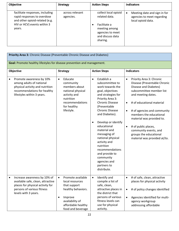| Objective                                                                                                                                 | <b>Strategy</b>              | <b>Action Steps</b>                                                                                                        | <b>Indicators</b>                                                                             |
|-------------------------------------------------------------------------------------------------------------------------------------------|------------------------------|----------------------------------------------------------------------------------------------------------------------------|-----------------------------------------------------------------------------------------------|
| facilitate responses, including<br>rapid responses to overdose<br>and other opioid-related (e.g.<br>HIV or HCV) events within 3<br>years. | across relevant<br>agencies. | collect local opioid<br>related data.<br>Facilitate a<br>meeting among<br>agencies to meet<br>and discuss data<br>sharing. | Meeting date and sign in for<br>$\bullet$<br>agencies to meet regarding<br>local opioid data. |

| Priority Area 3: Chronic Disease (Preventable Chronic Disease and Diabetes)                                                                          |                                                                                                                                                      |                                                                                                                                                                                                                                                                                                                                                                                                                                             |                                                                                                                                                                                                                                                                                                                                                                                                                       |  |  |
|------------------------------------------------------------------------------------------------------------------------------------------------------|------------------------------------------------------------------------------------------------------------------------------------------------------|---------------------------------------------------------------------------------------------------------------------------------------------------------------------------------------------------------------------------------------------------------------------------------------------------------------------------------------------------------------------------------------------------------------------------------------------|-----------------------------------------------------------------------------------------------------------------------------------------------------------------------------------------------------------------------------------------------------------------------------------------------------------------------------------------------------------------------------------------------------------------------|--|--|
| Goal: Promote healthy lifestyles for disease prevention and management.                                                                              |                                                                                                                                                      |                                                                                                                                                                                                                                                                                                                                                                                                                                             |                                                                                                                                                                                                                                                                                                                                                                                                                       |  |  |
| <b>Objective</b>                                                                                                                                     | <b>Strategy</b>                                                                                                                                      | <b>Action Steps</b>                                                                                                                                                                                                                                                                                                                                                                                                                         | <b>Indicators</b>                                                                                                                                                                                                                                                                                                                                                                                                     |  |  |
| Promote awareness by 10%<br>among adults of national<br>physical activity and nutrition<br>recommendations for healthy<br>lifestyles within 3 years. | Educate<br>$\bullet$<br>community<br>members about<br>national physical<br>activity and<br>nutrition<br>recommendations<br>for healthy<br>lifestyle. | Establish a<br>$\bullet$<br>subcommittee to<br>work towards the<br>goal, objectives<br>and strategies for<br>Priority Area 3:<br><b>Chronic Disease</b><br>(Preventable<br><b>Chronic Disease</b><br>and Diabetes).<br>Develop or identify<br>educational<br>material and<br>messaging of<br>national physical<br>activity and<br>nutrition<br>recommendations<br>and provide to<br>community<br>agencies and<br>partners to<br>distribute. | Priority Area 3: Chronic<br>$\bullet$<br>Disease (Preventable Chronic<br>Disease and Diabetes)<br>subcommittee member list<br>and meeting dates.<br># of educational material<br>$\bullet$<br># of agencies and community<br>$\bullet$<br>members the educational<br>material was provided to.<br># of public places,<br>$\bullet$<br>community events, and<br>groups the educational<br>material was provided at/to. |  |  |
| Increase awareness by 10% of<br>$\bullet$<br>available safe, clean, attractive<br>places for physical activity for                                   | Promote available<br>$\bullet$<br>local resources<br>that support                                                                                    | Identify and<br>$\bullet$<br>compile a list of<br>safe, clean,                                                                                                                                                                                                                                                                                                                                                                              | # of safe, clean, attractive<br>$\bullet$<br>places for physical activity                                                                                                                                                                                                                                                                                                                                             |  |  |
| persons of various fitness<br>levels with 3 years.                                                                                                   | healthy behaviors.<br>Improve<br>$\bullet$<br>availability of<br>affordable healthy<br>food and beverage                                             | attractive places in<br>the district that<br>persons of various<br>fitness levels can<br>use for physical<br>activity.                                                                                                                                                                                                                                                                                                                      | # of policy changes identified<br>$\bullet$<br>Agencies identified for multi-<br>$\bullet$<br>agency workgroup<br>addressing affordable                                                                                                                                                                                                                                                                               |  |  |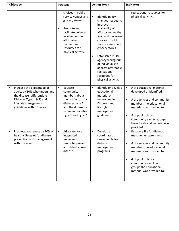| Objective                                                                                                                                                                               | <b>Strategy</b>                                                                                                                                                                                       | <b>Action Steps</b>                                                                                                                                                                                                                                                                                                                               | <b>Indicators</b>                                                                                                                                                                                                                                                         |  |
|-----------------------------------------------------------------------------------------------------------------------------------------------------------------------------------------|-------------------------------------------------------------------------------------------------------------------------------------------------------------------------------------------------------|---------------------------------------------------------------------------------------------------------------------------------------------------------------------------------------------------------------------------------------------------------------------------------------------------------------------------------------------------|---------------------------------------------------------------------------------------------------------------------------------------------------------------------------------------------------------------------------------------------------------------------------|--|
|                                                                                                                                                                                         | choices in public<br>service venues and<br>grocery stores.<br>Promote and<br>$\bullet$<br>facilitate universal<br>involvement in<br>affordable<br>recreational<br>resources for<br>physical activity. | Identify policy<br>$\bullet$<br>changes needed to<br>improve<br>availability of<br>affordable healthy<br>food and beverage<br>choices in public<br>service venues and<br>grocery stores.<br>Establish a multi-<br>$\bullet$<br>agency workgroup<br>of individuals to<br>address affordable<br>recreational<br>resources for<br>physical activity. | recreational resources for<br>physical activity.                                                                                                                                                                                                                          |  |
| Increase the percentage of<br>$\bullet$<br>adults by 10% who understand<br>the disease (differentiate<br>Diabetes Type 1 & 2) and<br>lifestyle management<br>guidelines within 3 years. | Educate<br>$\bullet$<br>community<br>members about<br>the risk factors for<br>diabetes type 2<br>and the difference<br>between Diabetes<br>Type 1 and Type 2.                                         | Identify or develop<br>$\bullet$<br>educational<br>material on<br>understanding<br>Diabetes and<br>lifestyle<br>management<br>guidelines.                                                                                                                                                                                                         | # of educational material<br>$\bullet$<br>developed or identified.<br># of agencies and community<br>members the educational<br>material was provided to.<br># of public places,<br>$\bullet$<br>community events, groups<br>the educational material was<br>provided to. |  |
| Promote awareness by 10% of<br>healthy lifestyles for disease<br>prevention and management<br>within 3 years.                                                                           | Advocate for an<br>$\bullet$<br>integrated<br>message to<br>promote, prevent<br>and detect chronic<br>disease.                                                                                        | Develop a<br>$\bullet$<br>coordinated<br>resource file for<br>diabetic<br>management<br>programs.                                                                                                                                                                                                                                                 | Resource file for diabetic<br>$\bullet$<br>management programs.<br># of agencies and community<br>members the educational<br>material was provided to.<br># of public places,<br>community events and<br>groups the educational<br>material was provided to.              |  |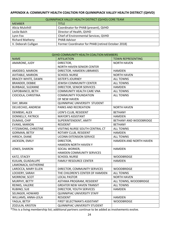#### **APPENDIX A: COMMUNITY HEALTH COALTION FOR QUINNIPIACK VALLEY HEALTH DISTRICT (QHVD)**

| QUINNIPIACK VALLEY HEALTH DISTRICT (QVHD) CORE TEAM |                                                    |  |  |
|-----------------------------------------------------|----------------------------------------------------|--|--|
| <b>MEMBER</b>                                       | <b>TITLE</b>                                       |  |  |
| Alicia Mulvihill                                    | Coordinator for PHAB (present), QVHD               |  |  |
| Leslie Balch                                        | Director of Health, QVHD                           |  |  |
| Lynn Fox                                            | Chief of Environmental Services, QVHD              |  |  |
| <b>Richard Matheny</b>                              | PHAB Advisor                                       |  |  |
| V. Deborah Culligan                                 | Former Coordinator for PHAB (retired October 2018) |  |  |

| <b>QVHD COMMUNITY HEALTH COALTION MEMBERS</b> |                                    |                          |  |  |
|-----------------------------------------------|------------------------------------|--------------------------|--|--|
| <b>NAME</b>                                   | <b>AFFILIATION</b>                 | <b>TOWN REPRESENTING</b> |  |  |
| AMARONE, JUDY                                 | DIRECTOR,                          | <b>NORTH HAVEN</b>       |  |  |
|                                               | NORTH HAVEN SENIOR CENTER          |                          |  |  |
| AMODEO, MARION                                | DIRECTOR, HAMDEN LIBRARIES         | <b>HAMDEN</b>            |  |  |
| <b>AVITABLE, MARION</b>                       | <b>SCHOOL NURSE</b>                | <b>NORTH HAVEN</b>       |  |  |
| BRACEY-WHITE, DAWN                            | <b>SISTER'S JOURNEY</b>            | <b>ALL TOWNS</b>         |  |  |
| <b>BRANDER, DEBBIE</b>                        | JEWISH COMMUNITY CENTER            | <b>ALL TOWNS</b>         |  |  |
| <b>BURBAGE, SUZANNE</b>                       | DIRECTOR, SENIOR SERVICES          | <b>HAMDEN</b>            |  |  |
| CAPOBIANCO, BETH                              | <b>COMMUNITY HEALTH CARE VNA</b>   | <b>ALL TOWNS</b>         |  |  |
| CIOCIOLA, CHRISTINA                           | <b>COMMUNITY FOUNDATION</b>        | <b>ALL TOWNS</b>         |  |  |
|                                               | OF NEW HAVEN                       |                          |  |  |
| DAY, BRIAN                                    | QUINNIPIAC UNIVERSITY STUDENT      |                          |  |  |
| DELVECHIO, ANDREW                             | PARKS AND RECREATION               | <b>NORTH HAVEN</b>       |  |  |
| DEMBSKI, ALEX                                 | LION'S CLUB, RESIDENT              | <b>BETHANY</b>           |  |  |
| DONNELLY, PATRICK                             | <b>MAYOR'S ASSISTANT</b>           | <b>HAMDEN</b>            |  |  |
| DUMAIS, CHIP                                  | SUPERINTENDENT, AMITY              | BETHANY AND WOODBRIDGE   |  |  |
| <b>EVANS, MARION</b>                          | <b>RESIDENT</b>                    | <b>BETHANY</b>           |  |  |
| FITZSIMONS, CHRISTINE                         | VISITING NURSE SOUTH CENTRAL CT    | <b>ALL TOWNS</b>         |  |  |
| <b>GORMAN, BETSY</b>                          | ROTARY CLUB, RESIDENT              | <b>HAMDEN</b>            |  |  |
| HIRSCH, DIANE                                 | <b>UCONN EXTENSION SERVICE</b>     | <b>ALL TOWNS</b>         |  |  |
| JACKSON, EMILY                                | DIRECTOR,                          | HAMDEN AND NORTH HAVEN   |  |  |
|                                               | HAMDEN NORTH HAVEN Y               |                          |  |  |
| JONES, SHARON                                 | SOCIAL WORKER,                     | <b>HAMDEN</b>            |  |  |
|                                               | HAMDEN COMMUNITY SERVICES          |                          |  |  |
| KATZ, STACEY                                  | <b>SCHOOL NURSE</b>                | <b>WOODBRIDGE</b>        |  |  |
| KUILAN, GUADALUPE                             | <b>FAMILY RESOURCE CENTER</b>      | <b>HAMDEN</b>            |  |  |
| LAMONACA, KATHERINE                           |                                    |                          |  |  |
| LAROCCA, MARY ELLEN                           | DIRECTOR, COMMUNITY SERVICES       | <b>WOODBRIDGE</b>        |  |  |
| LOCKERY, SARAH                                | THE CHILDREN'S CENTER OF HAMDEN    | <b>ALL TOWNS</b>         |  |  |
| MORROW, SCOT                                  | <b>LOCAL PASTOR</b>                | <b>NORTH HAVEN</b>       |  |  |
| MURPHY, BETTY                                 | ASTHMA PROGRAM, RESIDENT           | ALL TOWNS, WOODBRIDGE    |  |  |
| REINKS, VALERIE                               | <b>GREATER NEW HAVEN TRANSIT</b>   | <b>ALL TOWNS</b>         |  |  |
| RUBINO, SUE                                   | DIRECTOR, YOUTH SERVICES           | <b>HAMDEN</b>            |  |  |
| SELINGER, HOWARD                              | <b>QUINNIPIAC UNIVERSITY STAFF</b> |                          |  |  |
| WILLIAMS, ANNA-LEILA                          | <b>RESIDENT</b>                    | <b>HAMDEN</b>            |  |  |
| YAGLA, BETSY                                  | FIRST SELECTMAN'S ASSISTANT        | <b>WOODBRIDGE</b>        |  |  |
| ZOZULIN, KRISTEN                              | QUINNIPIAC UNIVERSITY STUDENT      |                          |  |  |

\*This is a living membership list; additional partners continue to be added as involvements evolve.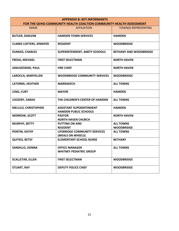| <b>APPENDIX B: KEY INFORMANTS</b>                                                                                               |                                                                 |                                       |  |  |  |
|---------------------------------------------------------------------------------------------------------------------------------|-----------------------------------------------------------------|---------------------------------------|--|--|--|
| FOR THE QVHD COMMUNITY HEALTH COALTION COMMUNITY HEALTH ASSESSMENT<br>TOWN(S) REPRESENTING<br><b>NAME</b><br><b>AFFILIATION</b> |                                                                 |                                       |  |  |  |
|                                                                                                                                 |                                                                 |                                       |  |  |  |
| <b>BUTLER, DARLENE</b>                                                                                                          | <b>HAMDEN TOWN SERVICES</b>                                     | <b>HAMDEN</b>                         |  |  |  |
| <b>CLARKE-LOFTERS, JENNIFER</b>                                                                                                 | <b>RESIDENT</b>                                                 | <b>WOODBRIDGE</b>                     |  |  |  |
| <b>DUMAIS, CHARLES</b>                                                                                                          | <b>SUPERINTENDENT, AMITY SCHOOLS</b>                            | <b>BETHANY AND WOODBRIDGE</b>         |  |  |  |
| FREDA, MICHAEL                                                                                                                  | <b>FIRST SELECTMAN</b>                                          | <b>NORTH HAVEN</b>                    |  |  |  |
| JANUSZEWSKI, PAUL                                                                                                               | <b>FIRE CHIEF</b>                                               | <b>NORTH HAVEN</b>                    |  |  |  |
| <b>LAROCCA, MARYELLEN</b>                                                                                                       | <b>WOODBRIDGE COMMUNITY SERVICES</b>                            | <b>WOODBRIDGE</b>                     |  |  |  |
| <b>LATORRA, HEATHER</b>                                                                                                         | <b>MARRAKECH</b>                                                | <b>ALL TOWNS</b>                      |  |  |  |
| LENG, CURT                                                                                                                      | <b>MAYOR</b>                                                    | <b>HAMDEN</b>                         |  |  |  |
| <b>LOCKERY, SARAH</b>                                                                                                           | THE CHILDREN'S CENTER OF HAMDEN                                 | <b>ALL TOWNS</b>                      |  |  |  |
| <b>MELLILO, CHRISTOPHER</b>                                                                                                     | <b>ASSISTANT SUPERINTENDENT</b><br><b>HAMDEN PUBLIC SCHOOLS</b> | <b>HAMDEN</b>                         |  |  |  |
| <b>MORROW, SCOTT</b>                                                                                                            | <b>PASTOR</b><br><b>NORTH HAVEN CHURCH</b>                      | <b>NORTH HAVEN</b>                    |  |  |  |
| <b>MURPHY, BETTY</b>                                                                                                            | <b>PUTTING ON AIRS</b><br><b>RESIDENT</b>                       | <b>ALL TOWNS</b><br><b>WOODBRIDGE</b> |  |  |  |
| PONTIN, KATHY                                                                                                                   | <b>LIFEBRIDGE COMMUNITY SERVICES</b><br>(MEALS ON WHEELS)       | <b>ALL TOWNS</b>                      |  |  |  |
| <b>QUITKO, BETSY</b>                                                                                                            | <b>ELEMENTARY SCHOOL NURSE</b>                                  | <b>BETHANY</b>                        |  |  |  |
| <b>SANDILLO, DONNA</b>                                                                                                          | <b>OFFICE MANAGER</b><br><b>WHITNEY PEDIATRIC GROUP</b>         | <b>ALL TOWNS</b>                      |  |  |  |
| <b>SCALLETAR, ELLEN</b>                                                                                                         | <b>FIRST SELECTMAN</b>                                          | <b>WOODBRIDGE</b>                     |  |  |  |
| <b>STUART, RAY</b>                                                                                                              | <b>DEPUTY POLICE CHIEF</b>                                      | <b>WOODBRIDGE</b>                     |  |  |  |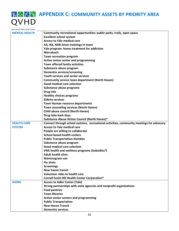# **APPENDIX C: COMMUNITY ASSETS BY PRIORITY AREA** QVHD

| <b>MENTAL HEALTH</b> | Community recreational opportunities: public parks, trails, open space                   |
|----------------------|------------------------------------------------------------------------------------------|
|                      | <b>Excellent school system</b>                                                           |
|                      | <b>Access to Yale medical care</b>                                                       |
|                      | AA, NA, NAR-Anon meetings in town                                                        |
|                      | Yale program: home treatment for addiction                                               |
|                      | Marrakech:                                                                               |
|                      | Town recreation program                                                                  |
|                      | Active senior center and programming                                                     |
|                      | Town offered family activities                                                           |
|                      | Substance abuse program                                                                  |
|                      | Dementia services/screening                                                              |
|                      | Youth services and senior services                                                       |
|                      | <b>Community service town department (North Haven)</b>                                   |
|                      | Good medical care selection                                                              |
|                      | Substance abuse programs                                                                 |
|                      | Drug info                                                                                |
|                      | <b>Healthy choices programs</b>                                                          |
|                      | <b>Elderly services</b>                                                                  |
|                      | Town Human resource departments                                                          |
|                      | Town counseling services (North Haven)                                                   |
|                      | <b>Child abuse council (North Haven)</b>                                                 |
|                      | Drug take back days                                                                      |
|                      | Substance Abuse Action Council (North Haven)*                                            |
| <b>HEALTH CARE</b>   | Connect through school systems, recreational activities, community meetings for advocacy |
| <b>SYSTEM</b>        | <b>Access to Yale medical care</b>                                                       |
|                      | People are willing to collaborate                                                        |
|                      | <b>School based health centers</b>                                                       |
|                      | <b>Public Transportation-Hamden</b>                                                      |
|                      | Substance abuse program                                                                  |
|                      | Good medical care selection                                                              |
|                      | VNA health and wellness programs (Subsidies?)                                            |
|                      | <b>Adult health clinic</b>                                                               |
|                      | Mammogram van                                                                            |
|                      | <b>Flu shots</b>                                                                         |
|                      | <b>Screenings</b>                                                                        |
|                      | <b>New haven transit</b>                                                                 |
|                      | <b>Volunteer rides to health care</b>                                                    |
|                      | Cornell Scott-Hill Health Center Corporation*                                            |
| <b>AGING</b>         | <b>Access to Adler Center (Yale)</b>                                                     |
|                      | Strong partnerships with state agencies and nonprofit organizations                      |
|                      | <b>Food pantries</b>                                                                     |
|                      | <b>Town libraries</b>                                                                    |
|                      | Active senior centers and programming                                                    |
|                      | <b>Public Transportation</b>                                                             |
|                      | <b>New Haven Transit</b>                                                                 |
|                      | <b>Dementia services</b>                                                                 |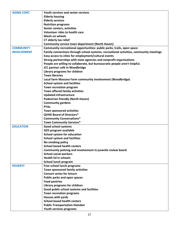| <b>AGING CONT.</b> | Youth services and senior services                                                     |
|--------------------|----------------------------------------------------------------------------------------|
|                    | <b>Elderly housing</b>                                                                 |
|                    | <b>Elderly services</b>                                                                |
|                    | <b>Nutrition programs</b>                                                              |
|                    | Senior centers, activities                                                             |
|                    | <b>Volunteer rides to health care</b>                                                  |
|                    | <b>Meals on wheels</b>                                                                 |
|                    | CT elderly tax relief                                                                  |
|                    | <b>Community service town department (North Haven)</b>                                 |
| <b>COMMUNITY</b>   | Community recreational opportunities: public parks, trails, open space                 |
| <b>INVOLVEMENT</b> | Family connections through school systems, recreational activities, community meetings |
|                    | Easy access to cities for employment/cultural events                                   |
|                    | Strong partnerships with state agencies and nonprofit organizations                    |
|                    | People are willing to collaborate, but bureaucratic people aren't helpful.             |
|                    | JCC partner café in Woodbridge                                                         |
|                    | Library programs for children                                                          |
|                    | <b>Town libraries</b>                                                                  |
|                    | Local farm Massaro Farm community involvement (Woodbridge)                             |
|                    |                                                                                        |
|                    | <b>School system and facilities</b>                                                    |
|                    | Town recreation program                                                                |
|                    | Town offered family activities                                                         |
|                    | <b>Updated infrastructure</b>                                                          |
|                    | <b>Pedestrian friendly (North Haven)</b>                                               |
|                    | <b>Community gardens</b>                                                               |
|                    | <b>PTAs</b>                                                                            |
|                    | <b>Town sponsored activities</b>                                                       |
|                    | <b>QVHD Board of Directors*</b>                                                        |
|                    | <b>Community Conversations*</b>                                                        |
|                    | <b>Town Community Services*</b>                                                        |
| <b>EDUCATION</b>   | Good school systems                                                                    |
|                    | <b>GED program available</b>                                                           |
|                    | <b>School system for education</b>                                                     |
|                    | <b>School system and facilities</b>                                                    |
|                    | No smoking policy                                                                      |
|                    | <b>School based health centers</b>                                                     |
|                    | Community policing and involvement in juvenile review board                            |
|                    | <b>School social workers</b>                                                           |
|                    | <b>Health Ed in schools</b>                                                            |
|                    | School lunch program                                                                   |
| <b>POVERTY</b>     | Free school lunch programs                                                             |
|                    | Town sponsored family activities                                                       |
|                    | <b>Concert series for leisure</b>                                                      |
|                    | Public parks and open spaces                                                           |
|                    | <b>Food pantries</b>                                                                   |
|                    | Library programs for children                                                          |
|                    | Good public school systems and facilities                                              |
|                    | <b>Town recreation programs</b>                                                        |
|                    | Houses with yards                                                                      |
|                    | <b>School based health centers</b>                                                     |
|                    |                                                                                        |
|                    | <b>Public Transportation-Hamden</b>                                                    |
|                    | Youth services programs                                                                |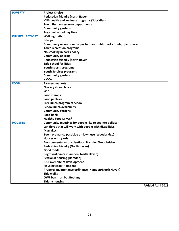| <b>POVERTY</b>           | <b>Project Choice</b>                                                  |
|--------------------------|------------------------------------------------------------------------|
|                          | <b>Pedestrian friendly (north Haven)</b>                               |
|                          | VNA health and wellness programs (Subsidies)                           |
|                          | Town Human resource departments                                        |
|                          | <b>Community gardens</b>                                               |
|                          | Toy chest at holiday time                                              |
| <b>PHYSICAL ACTIVITY</b> | <b>Walking trails</b>                                                  |
|                          | <b>Bike path</b>                                                       |
|                          | Community recreational opportunities: public parks, trails, open space |
|                          | <b>Town recreation programs</b>                                        |
|                          | No smoking in parks policy                                             |
|                          | <b>Community policing</b>                                              |
|                          | <b>Pedestrian friendly (north Haven)</b>                               |
|                          | Safe school facilities                                                 |
|                          | Youth sports programs                                                  |
|                          | <b>Youth Services programs</b>                                         |
|                          | <b>Community gardens</b>                                               |
|                          | <b>YMCA</b>                                                            |
| <b>FOOD</b>              | <b>Farmers markets</b>                                                 |
|                          | <b>Grocery store choice</b>                                            |
|                          | <b>WIC</b>                                                             |
|                          | <b>Food stamps</b>                                                     |
|                          | <b>Food pantries</b>                                                   |
|                          | Free lunch program at school                                           |
|                          | <b>School lunch availability</b>                                       |
|                          | <b>Community gardens</b>                                               |
|                          | <b>Food bank</b>                                                       |
|                          | <b>Healthy Food Drives*</b>                                            |
| <b>HOUSING</b>           | Community meetings for people like to get into politics                |
|                          | Landlords that will work with people with disabilities                 |
|                          | <b>Marrakech</b>                                                       |
|                          | Town ordinance pesticide on lawn use (Woodbridge)                      |
|                          | Houses with yards                                                      |
|                          | <b>Environmentally conscientious, Hamden Woodbridge</b>                |
|                          | <b>Pedestrian friendly (North Haven)</b>                               |
|                          | <b>Good roads</b>                                                      |
|                          | <b>Blight ordinance (Hamden, North Haven)</b>                          |
|                          | <b>Section 8 housing (Hamden)</b>                                      |
|                          | P&Z over-site of development                                           |
|                          | <b>Housing code (Hamden)</b>                                           |
|                          | Property maintenance ordinance (Hamden/North Haven)                    |
|                          | <b>Side walks</b>                                                      |
|                          | OWF ban in all but Bethany                                             |
|                          | <b>Elderly housing</b>                                                 |

**\*Added April 2019**